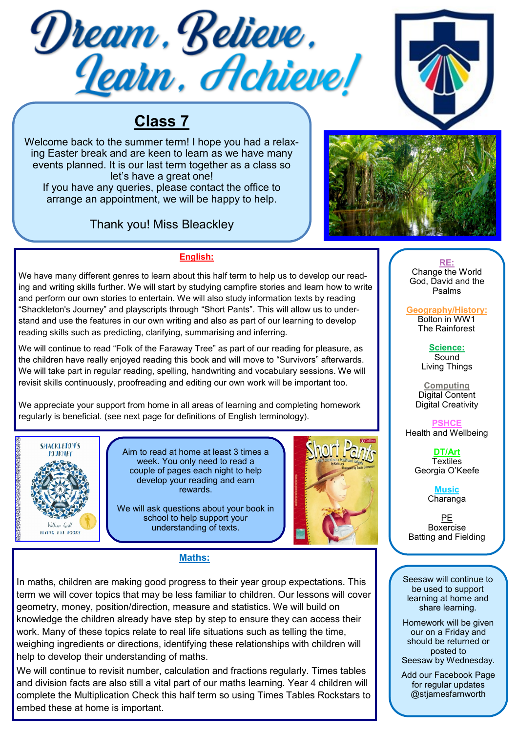



# **Class 7**

Welcome back to the summer term! I hope you had a relaxing Easter break and are keen to learn as we have many events planned. It is our last term together as a class so let's have a great one!

If you have any queries, please contact the office to arrange an appointment, we will be happy to help.

# Thank you! Miss Bleackley



# **English:**

We have many different genres to learn about this half term to help us to develop our reading and writing skills further. We will start by studying campfire stories and learn how to write and perform our own stories to entertain. We will also study information texts by reading "Shackleton's Journey" and playscripts through "Short Pants". This will allow us to understand and use the features in our own writing and also as part of our learning to develop reading skills such as predicting, clarifying, summarising and inferring.

We will continue to read "Folk of the Faraway Tree" as part of our reading for pleasure, as the children have really enjoyed reading this book and will move to "Survivors" afterwards. We will take part in regular reading, spelling, handwriting and vocabulary sessions. We will revisit skills continuously, proofreading and editing our own work will be important too.

We appreciate your support from home in all areas of learning and completing homework regularly is beneficial. (see next page for definitions of English terminology).



Aim to read at home at least 3 times a week. You only need to read a couple of pages each night to help develop your reading and earn rewards.

We will ask questions about your book in school to help support your understanding of texts.



# **Maths:**

In maths, children are making good progress to their year group expectations. This term we will cover topics that may be less familiar to children. Our lessons will cover geometry, money, position/direction, measure and statistics. We will build on knowledge the children already have step by step to ensure they can access their work. Many of these topics relate to real life situations such as telling the time, weighing ingredients or directions, identifying these relationships with children will help to develop their understanding of maths.

We will continue to revisit number, calculation and fractions regularly. Times tables and division facts are also still a vital part of our maths learning. Year 4 children will complete the Multiplication Check this half term so using Times Tables Rockstars to embed these at home is important.

**RE:** Change the World God, David and the Psalms

**Geography/History:**  Bolton in WW1 The Rainforest

> **Science: Sound** Living Things

**Computing** Digital Content Digital Creativity

**PSHCE**  Health and Wellbeing

> **DT/Art Textiles** Georgia O'Keefe

> > **Music** Charanga

PE **Boxercise** Batting and Fielding

Seesaw will continue to be used to support learning at home and share learning.

Homework will be given our on a Friday and should be returned or posted to Seesaw by Wednesday.

Add our Facebook Page for regular updates @stjamesfarnworth